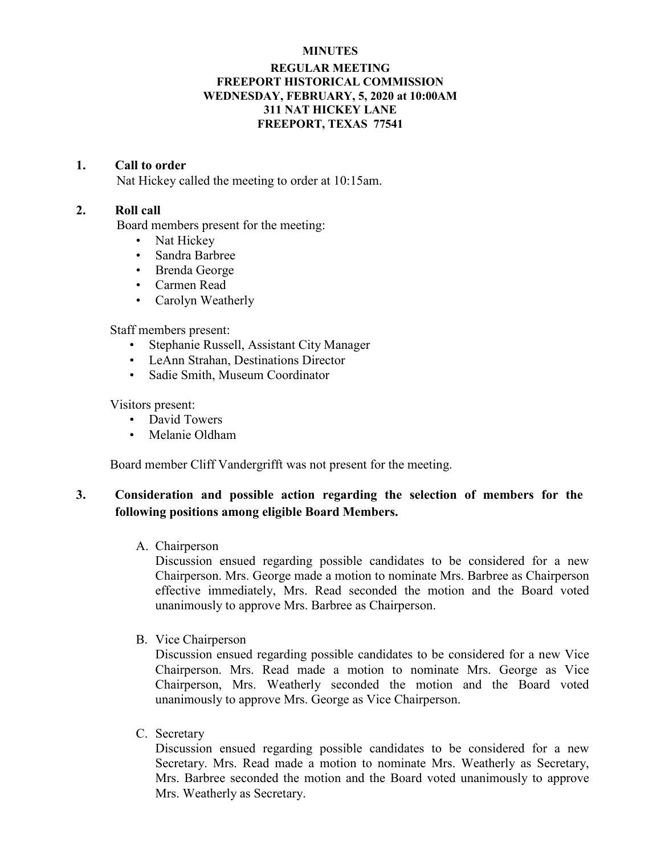#### **MINUTES**

### **REGULAR MEETING FREEPORT HISTORICAL COMMISSION WEDNESDAY, FEBRUARY, 5, 2020 at 10:00AM 311 NAT HICKEY LANE FREEPORT, TEXAS 77541**

#### **1. Call to order**

Nat Hickey called the meeting to order at 10:15am.

### **2. Roll call**

Board members present for the meeting:

- Nat Hickey
- Sandra Barbree
- Brenda George
- Carmen Read
- Carolyn Weatherly

Staff members present:

- Stephanie Russell, Assistant City Manager
- LeAnn Strahan, Destinations Director
- Sadie Smith, Museum Coordinator

Visitors present:

- David Towers
- Melanie Oldham

Board member Cliff Vandergrifft was not present for the meeting.

# **3. Consideration and possible action regarding the selection of members for the following positions among eligible Board Members.**

A. Chairperson

Discussion ensued regarding possible candidates to be considered for a new Chairperson. Mrs. George made a motion to nominate Mrs. Barbree as Chairperson effective immediately, Mrs. Read seconded the motion and the Board voted unanimously to approve Mrs. Barbree as Chairperson.

B. Vice Chairperson

Discussion ensued regarding possible candidates to be considered for a new Vice Chairperson. Mrs. Read made a motion to nominate Mrs. George as Vice Chairperson, Mrs. Weatherly seconded the motion and the Board voted unanimously to approve Mrs. George as Vice Chairperson.

C. Secretary

Discussion ensued regarding possible candidates to be considered for a new Secretary. Mrs. Read made a motion to nominate Mrs. Weatherly as Secretary, Mrs. Barbree seconded the motion and the Board voted unanimously to approve Mrs. Weatherly as Secretary.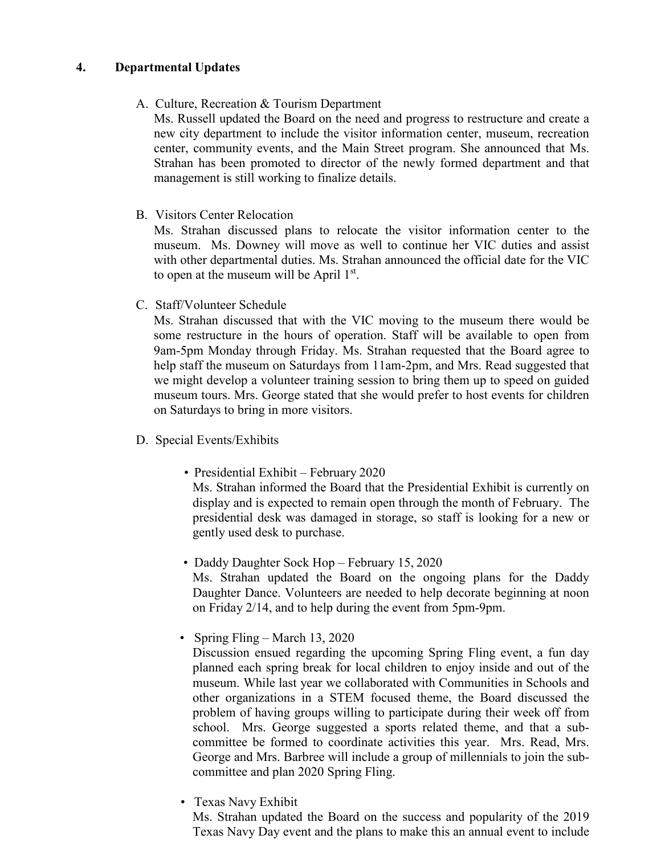# **4. Departmental Updates**

## A. Culture, Recreation & Tourism Department

Ms. Russell updated the Board on the need and progress to restructure and create a new city department to include the visitor information center, museum, recreation center, community events, and the Main Street program. She announced that Ms. Strahan has been promoted to director of the newly formed department and that management is still working to finalize details.

B. Visitors Center Relocation

Ms. Strahan discussed plans to relocate the visitor information center to the museum. Ms. Downey will move as well to continue her VIC duties and assist with other departmental duties. Ms. Strahan announced the official date for the VIC to open at the museum will be April  $1<sup>st</sup>$ .

C. Staff/Volunteer Schedule

Ms. Strahan discussed that with the VIC moving to the museum there would be some restructure in the hours of operation. Staff will be available to open from 9am-5pm Monday through Friday. Ms. Strahan requested that the Board agree to help staff the museum on Saturdays from 11am-2pm, and Mrs. Read suggested that we might develop a volunteer training session to bring them up to speed on guided museum tours. Mrs. George stated that she would prefer to host events for children on Saturdays to bring in more visitors.

- D. Special Events/Exhibits
	- Presidential Exhibit February 2020

Ms. Strahan informed the Board that the Presidential Exhibit is currently on display and is expected to remain open through the month of February. The presidential desk was damaged in storage, so staff is looking for a new or gently used desk to purchase.

• Daddy Daughter Sock Hop – February 15, 2020

Ms. Strahan updated the Board on the ongoing plans for the Daddy Daughter Dance. Volunteers are needed to help decorate beginning at noon on Friday 2/14, and to help during the event from 5pm-9pm.

• Spring Fling – March 13, 2020

Discussion ensued regarding the upcoming Spring Fling event, a fun day planned each spring break for local children to enjoy inside and out of the museum. While last year we collaborated with Communities in Schools and other organizations in a STEM focused theme, the Board discussed the problem of having groups willing to participate during their week off from school. Mrs. George suggested a sports related theme, and that a subcommittee be formed to coordinate activities this year. Mrs. Read, Mrs. George and Mrs. Barbree will include a group of millennials to join the subcommittee and plan 2020 Spring Fling.

• Texas Navy Exhibit

Ms. Strahan updated the Board on the success and popularity of the 2019 Texas Navy Day event and the plans to make this an annual event to include